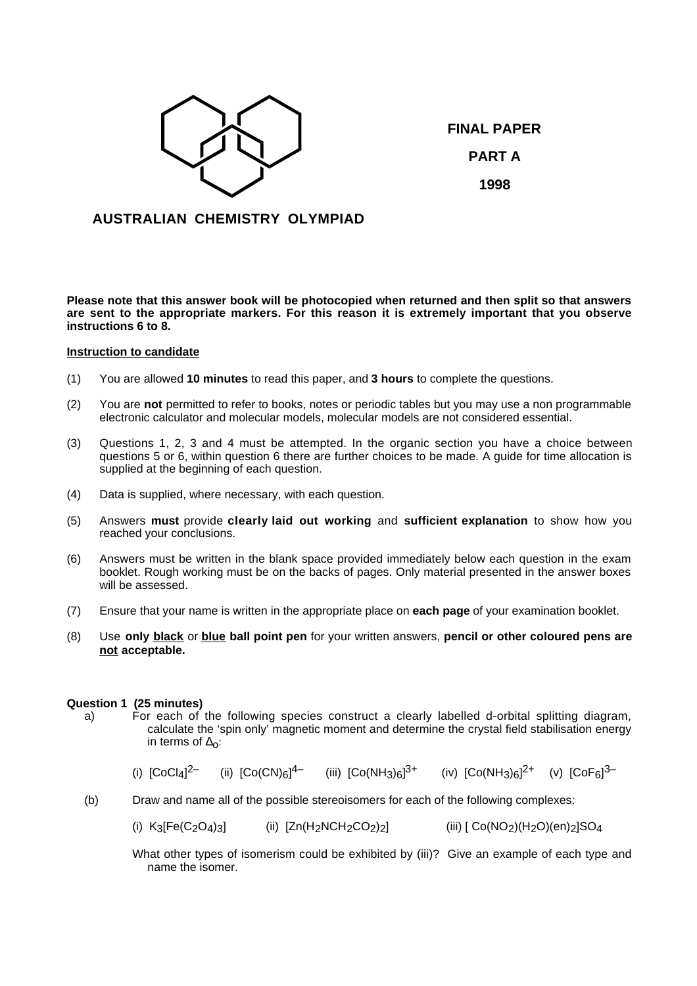

**FINAL PAPER PART A 1998**

# **AUSTRALIAN CHEMISTRY OLYMPIAD**

**Please note that this answer book will be photocopied when returned and then split so that answers are sent to the appropriate markers. For this reason it is extremely important that you observe instructions 6 to 8.**

### **Instruction to candidate**

- (1) You are allowed **10 minutes** to read this paper, and **3 hours** to complete the questions.
- (2) You are **not** permitted to refer to books, notes or periodic tables but you may use a non programmable electronic calculator and molecular models, molecular models are not considered essential.
- (3) Questions 1, 2, 3 and 4 must be attempted. In the organic section you have a choice between questions 5 or 6, within question 6 there are further choices to be made. A guide for time allocation is supplied at the beginning of each question.
- (4) Data is supplied, where necessary, with each question.
- (5) Answers **must** provide **clearly laid out working** and **sufficient explanation** to show how you reached your conclusions.
- (6) Answers must be written in the blank space provided immediately below each question in the exam booklet. Rough working must be on the backs of pages. Only material presented in the answer boxes will be assessed.
- (7) Ensure that your name is written in the appropriate place on **each page** of your examination booklet.
- (8) Use **only black** or **blue ball point pen** for your written answers, **pencil or other coloured pens are not acceptable.**

### **Question 1 (25 minutes)**

- a) For each of the following species construct a clearly labelled d-orbital splitting diagram, calculate the 'spin only' magnetic moment and determine the crystal field stabilisation energy in terms of  $\Delta$ o:
	- (i)  $[CoCl<sub>A</sub>]$ <sup>2-</sup> <sup>2–</sup> (ii)  $[Co(CN)_{6}]^{4-}$  (iii)  $[Co(NH_{3})_{6}]^{3+}$  (iv)  $[Co(NH_{3})_{6}]^{2+}$  (v)  $[CoF_{6}]^{3-}$
- (b) Draw and name all of the possible stereoisomers for each of the following complexes:
	- (i)  $K_3[Fe(C_2O_4)_3]$  (ii)  $[Zn(H_2NCH_2CO_2)_2]$  (iii)  $[Co(NO_2)(H_2O)(en)_2]SO_4$

What other types of isomerism could be exhibited by (iii)? Give an example of each type and name the isomer.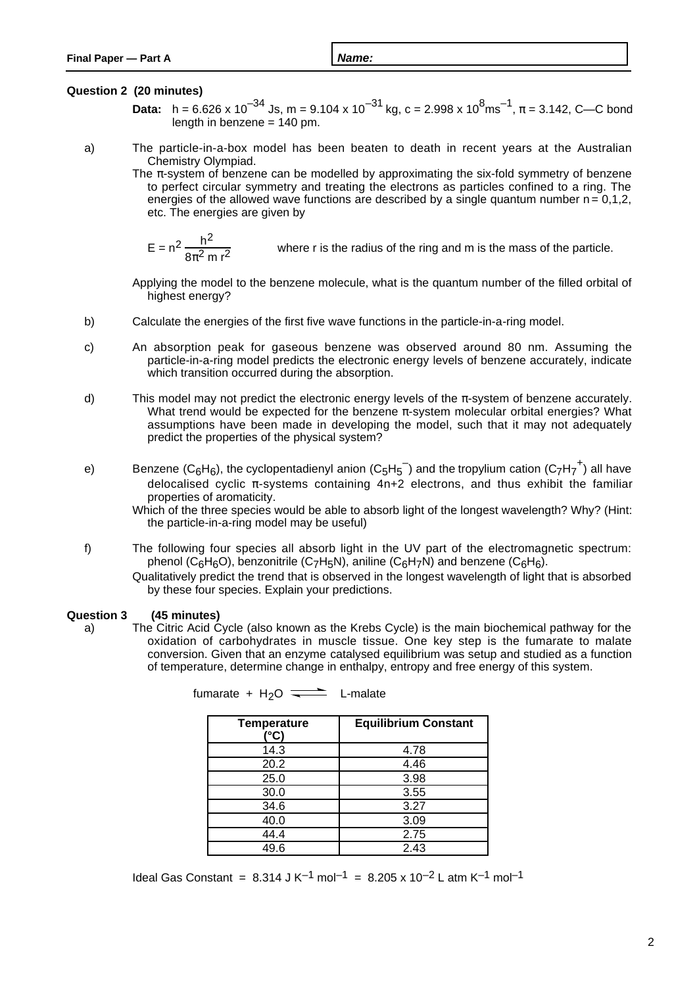## **Question 2 (20 minutes)**

- **Data:** h = 6.626 x 10<sup>-34</sup> Js, m = 9.104 x 10<sup>-31</sup> kg, c = 2.998 x 10<sup>8</sup>ms<sup>-1</sup>,  $\pi$  = 3.142, C—C bond length in benzene  $= 140$  pm.
- a) The particle-in-a-box model has been beaten to death in recent years at the Australian Chemistry Olympiad.
	- The  $\pi$ -system of benzene can be modelled by approximating the six-fold symmetry of benzene to perfect circular symmetry and treating the electrons as particles confined to a ring. The energies of the allowed wave functions are described by a single quantum number  $n = 0.1.2$ . etc. The energies are given by

$$
E = n^2 \frac{h^2}{8\pi^2 m r^2}
$$
 where r is the radius of the ring and m is the mass of the particle.

Applying the model to the benzene molecule, what is the quantum number of the filled orbital of highest energy?

- b) Calculate the energies of the first five wave functions in the particle-in-a-ring model.
- c) An absorption peak for gaseous benzene was observed around 80 nm. Assuming the particle-in-a-ring model predicts the electronic energy levels of benzene accurately, indicate which transition occurred during the absorption.
- d) This model may not predict the electronic energy levels of the  $\pi$ -system of benzene accurately. What trend would be expected for the benzene  $\pi$ -system molecular orbital energies? What assumptions have been made in developing the model, such that it may not adequately predict the properties of the physical system?
- e) Benzene (C<sub>6</sub>H<sub>6</sub>), the cyclopentadienyl anion (C<sub>5</sub>H<sub>5</sub>  $^-$ ) and the tropylium cation (C<sub>7</sub>H<sub>7</sub><sup>+</sup>) all have delocalised cyclic π-systems containing 4n+2 electrons, and thus exhibit the familiar properties of aromaticity.

Which of the three species would be able to absorb light of the longest wavelength? Why? (Hint: the particle-in-a-ring model may be useful)

- f) The following four species all absorb light in the UV part of the electromagnetic spectrum: phenol (C<sub>6</sub>H<sub>6</sub>O), benzonitrile (C<sub>7</sub>H<sub>5</sub>N), aniline (C<sub>6</sub>H<sub>7</sub>N) and benzene (C<sub>6</sub>H<sub>6</sub>).
	- Qualitatively predict the trend that is observed in the longest wavelength of light that is absorbed by these four species. Explain your predictions.

## **Question 3 (45 minutes)**

a) The Citric Acid Cycle (also known as the Krebs Cycle) is the main biochemical pathway for the oxidation of carbohydrates in muscle tissue. One key step is the fumarate to malate conversion. Given that an enzyme catalysed equilibrium was setup and studied as a function of temperature, determine change in enthalpy, entropy and free energy of this system.

| <b>Temperature</b><br>(°C) | <b>Equilibrium Constant</b> |
|----------------------------|-----------------------------|
| 14.3                       | 4.78                        |
| 20.2                       | 4.46                        |
| 25.0                       | 3.98                        |
| 30.0                       | 3.55                        |
| 34.6                       | 3.27                        |
| 40.0                       | 3.09                        |
| 44.4                       | 2.75                        |
| 49.6                       | 2.43                        |

fumarate +  $H<sub>2</sub>O \implies L$ -malate

Ideal Gas Constant =  $8.314 \text{ J K}^{-1}$  mol<sup>-1</sup> =  $8.205 \times 10^{-2}$  L atm K<sup>-1</sup> mol<sup>-1</sup>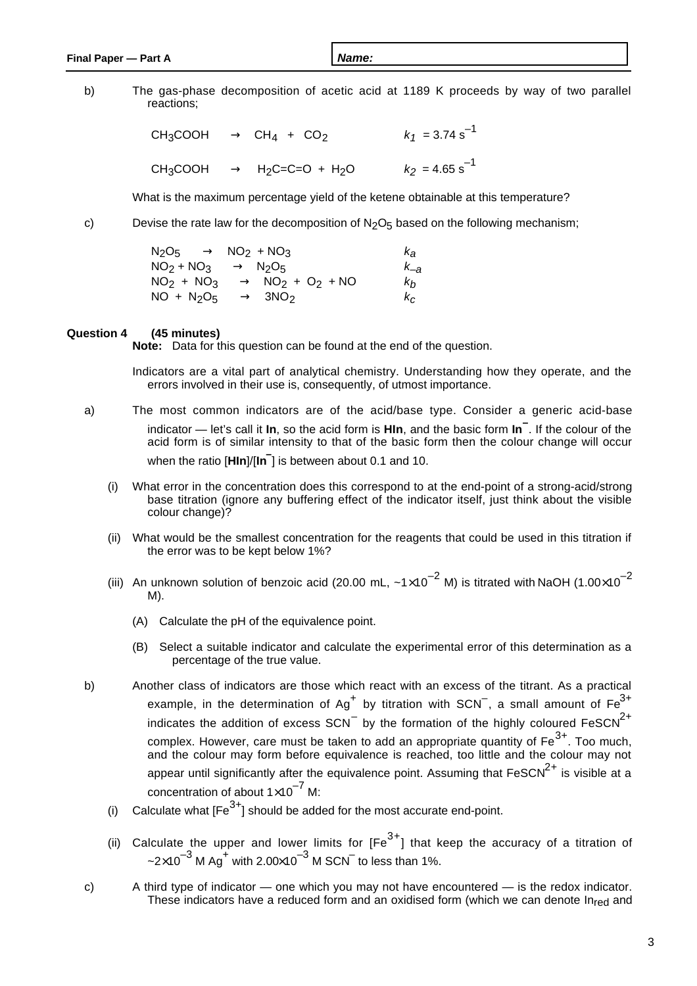b) The gas-phase decomposition of acetic acid at 1189 K proceeds by way of two parallel reactions;

> $CH_3COOH \longrightarrow CH_4 + CO_2$   $k_1 = 3.74 s^{-1}$ CH<sub>3</sub>COOH  $\longrightarrow$  H<sub>2</sub>C=C=O + H<sub>2</sub>O  $k_2 = 4.65 s^{-1}$

What is the maximum percentage yield of the ketene obtainable at this temperature?

c) Devise the rate law for the decomposition of  $N_2O_5$  based on the following mechanism;

| $N_2O_5 \longrightarrow NO_2 + NO_3$      | $\kappa_{\mathbf{a}}$ |
|-------------------------------------------|-----------------------|
| $NO2 + NO3 \longrightarrow N2O5$          | $k_{-a}$              |
| $NO2 + NO3 \longrightarrow NO2 + O2 + NO$ | k <sub>h</sub>        |
| $NO + N2O5 \longrightarrow 3NO2$          | $k_{\rm C}$           |

#### **Question 4 (45 minutes)**

**Note:** Data for this question can be found at the end of the question.

Indicators are a vital part of analytical chemistry. Understanding how they operate, and the errors involved in their use is, consequently, of utmost importance.

- a) The most common indicators are of the acid/base type. Consider a generic acid-base indicator — let's call it **In**, so the acid form is **HIn**, and the basic form **In–** . If the colour of the acid form is of similar intensity to that of the basic form then the colour change will occur when the ratio [**HIn**]/[**In–** ] is between about 0.1 and 10.
	- (i) What error in the concentration does this correspond to at the end-point of a strong-acid/strong base titration (ignore any buffering effect of the indicator itself, just think about the visible colour change)?
	- (ii) What would be the smallest concentration for the reagents that could be used in this titration if the error was to be kept below 1%?
	- (iii) An unknown solution of benzoic acid (20.00 mL,  $\sim 1 \times 10^{-2}$  M) is titrated with NaOH (1.00 $\times 10^{-2}$ ) M).
		- (A) Calculate the pH of the equivalence point.
		- (B) Select a suitable indicator and calculate the experimental error of this determination as a percentage of the true value.
- b) Another class of indicators are those which react with an excess of the titrant. As a practical example, in the determination of Ag<sup>+</sup> by titration with SCN<sup>-</sup>, a small amount of Fe<sup>3+</sup> indicates the addition of excess SCN<sup>-</sup> by the formation of the highly coloured FeSCN<sup>2+</sup> complex. However, care must be taken to add an appropriate quantity of Fe $^{3+}$ . Too much, and the colour may form before equivalence is reached, too little and the colour may not appear until significantly after the equivalence point. Assuming that  $\overline{F\text{eSCN}^{2+}}$  is visible at a concentration of about  $1\times10^{-7}$  M:
	- (i) Calculate what  $[Fe^{3+}]$  should be added for the most accurate end-point.
	- (ii) Calculate the upper and lower limits for  $[Fe^{3+}]$  that keep the accuracy of a titration of ~2 $\times$ 10 $^{-3}$  M Ag $^+$  with 2.00 $\times$ 10 $^{-3}$  M SCN $^-$  to less than 1%.
- c) A third type of indicator one which you may not have encountered is the redox indicator. These indicators have a reduced form and an oxidised form (which we can denote  $\ln_{\text{red}}$  and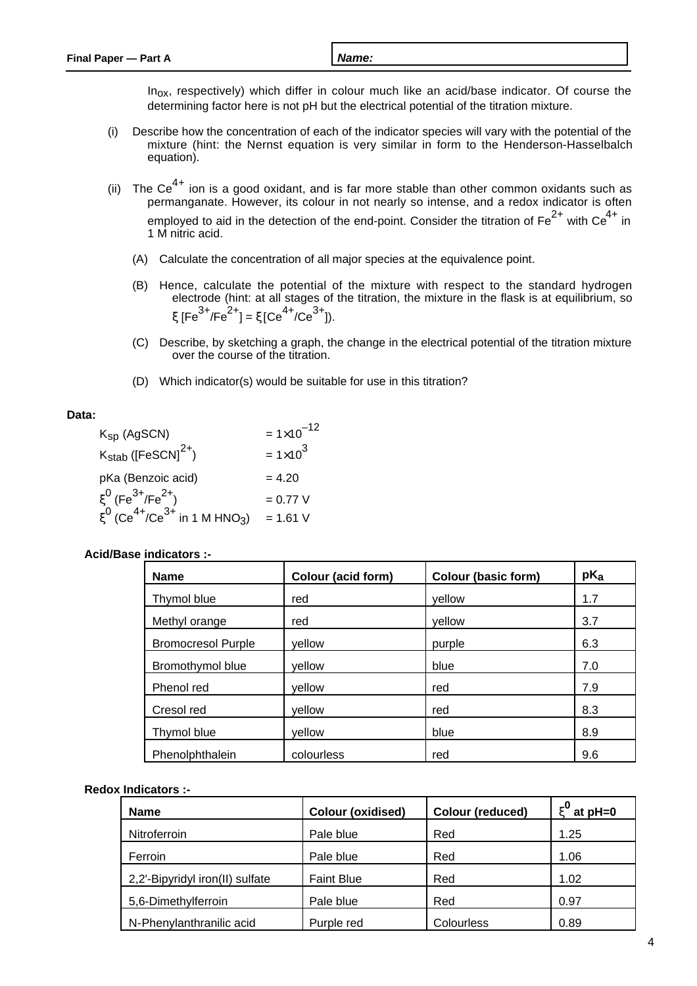$In<sub>ox</sub>$ , respectively) which differ in colour much like an acid/base indicator. Of course the determining factor here is not pH but the electrical potential of the titration mixture.

- (i) Describe how the concentration of each of the indicator species will vary with the potential of the mixture (hint: the Nernst equation is very similar in form to the Henderson-Hasselbalch equation).
- (ii) The Ce<sup>4+</sup> ion is a good oxidant, and is far more stable than other common oxidants such as permanganate. However, its colour in not nearly so intense, and a redox indicator is often employed to aid in the detection of the end-point. Consider the titration of  $Fe^{2+}$  with  $Ce^{4+}$  in 1 M nitric acid.
	- (A) Calculate the concentration of all major species at the equivalence point.
	- (B) Hence, calculate the potential of the mixture with respect to the standard hydrogen electrode (hint: at all stages of the titration, the mixture in the flask is at equilibrium, so ξ  $[Fe^{3+}/Fe^{2+}] = \xi [Ce^{4+}/Ce^{3+}]$ ).
	- (C) Describe, by sketching a graph, the change in the electrical potential of the titration mixture over the course of the titration.
	- (D) Which indicator(s) would be suitable for use in this titration?

## **Data:**

| $K_{SD}$ (AgSCN)                                                      | $= 1 \times 10^{-12}$ |
|-----------------------------------------------------------------------|-----------------------|
| $K_{\text{stab}}$ ([FeSCN] <sup>2+</sup> )                            | $= 1 \times 10^{3}$   |
| pKa (Benzoic acid)                                                    | $= 4.20$              |
| $\xi^0$ (Fe <sup>3+</sup> /Fe <sup>2+</sup> )                         | $= 0.77 V$            |
| $\xi^0$ (Ce <sup>4+</sup> /Ce <sup>3+</sup> in 1 M HNO <sub>3</sub> ) | $= 1.61 V$            |

| <b>Name</b>               | Colour (acid form) | <b>Colour (basic form)</b> | $pK_a$ |
|---------------------------|--------------------|----------------------------|--------|
| Thymol blue               | red                | vellow                     | 1.7    |
| Methyl orange             | red                | yellow                     | 3.7    |
| <b>Bromocresol Purple</b> | yellow             | purple                     | 6.3    |
| Bromothymol blue          | yellow             | blue                       | 7.0    |
| Phenol red                | yellow             | red                        | 7.9    |
| Cresol red                | vellow             | red                        | 8.3    |
| Thymol blue               | vellow             | blue                       | 8.9    |
| Phenolphthalein           | colourless         | red                        | 9.6    |

### **Acid/Base indicators :-**

### **Redox Indicators :-**

| <b>Name</b>                     | <b>Colour (oxidised)</b> | <b>Colour (reduced)</b> | $_{\xi}$ 0<br>at $pH=0$ |
|---------------------------------|--------------------------|-------------------------|-------------------------|
| Nitroferroin                    | Pale blue                | Red                     | 1.25                    |
| Ferroin                         | Pale blue                | Red                     | 1.06                    |
| 2,2'-Bipyridyl iron(II) sulfate | <b>Faint Blue</b>        | Red                     | 1.02                    |
| 5,6-Dimethylferroin             | Pale blue                | Red                     | 0.97                    |
| N-Phenylanthranilic acid        | Purple red               | Colourless              | 0.89                    |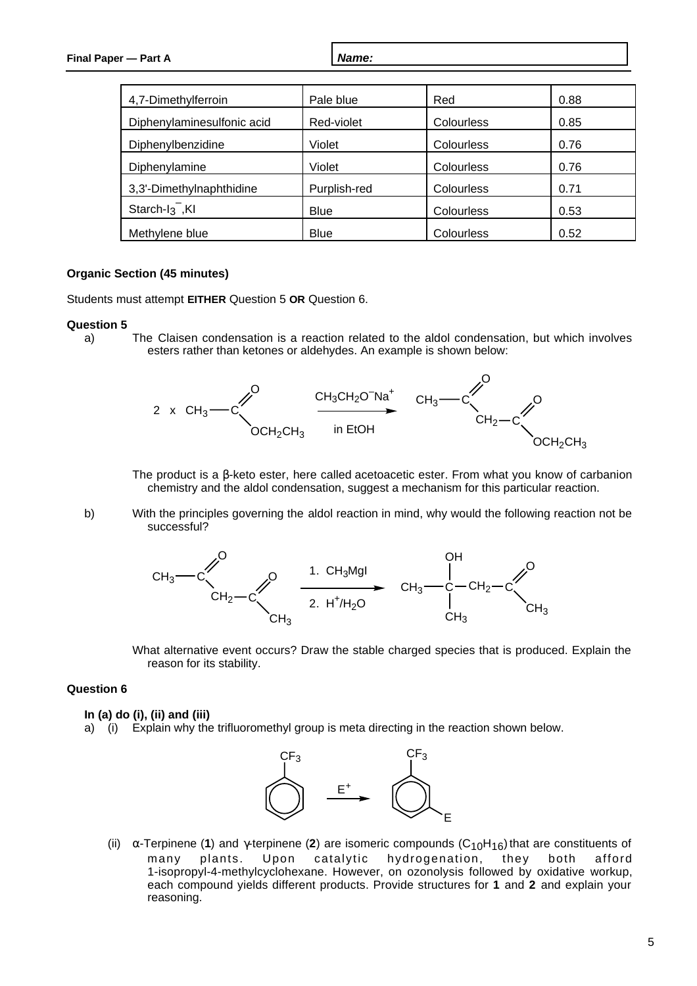| 4,7-Dimethylferroin        | Pale blue    | Red        | 0.88 |
|----------------------------|--------------|------------|------|
| Diphenylaminesulfonic acid | Red-violet   | Colourless | 0.85 |
| Diphenylbenzidine          | Violet       | Colourless | 0.76 |
| Diphenylamine              | Violet       | Colourless | 0.76 |
| 3,3'-Dimethylnaphthidine   | Purplish-red | Colourless | 0.71 |
| Starch- $I_3$ , KI         | <b>Blue</b>  | Colourless | 0.53 |
| Methylene blue             | <b>Blue</b>  | Colourless | 0.52 |

### **Organic Section (45 minutes)**

Students must attempt **EITHER** Question 5 **OR** Question 6.

#### **Question 5**

a) The Claisen condensation is a reaction related to the aldol condensation, but which involves esters rather than ketones or aldehydes. An example is shown below:



The product is a β-keto ester, here called acetoacetic ester. From what you know of carbanion chemistry and the aldol condensation, suggest a mechanism for this particular reaction.

b) With the principles governing the aldol reaction in mind, why would the following reaction not be successful?



What alternative event occurs? Draw the stable charged species that is produced. Explain the reason for its stability.

## **Question 6**

#### **In (a) do (i), (ii) and (iii)**

a) (i) Explain why the trifluoromethyl group is meta directing in the reaction shown below.



(ii)  $\alpha$ -Terpinene (**1**) and  $\gamma$ -terpinene (**2**) are isomeric compounds (C<sub>10</sub>H<sub>16</sub>) that are constituents of many plants. Upon catalytic hydrogenation, they both afford many plants. Upon catalytic hydrogenation, they both afford 1-isopropyl-4-methylcyclohexane. However, on ozonolysis followed by oxidative workup, each compound yields different products. Provide structures for **1** and **2** and explain your reasoning.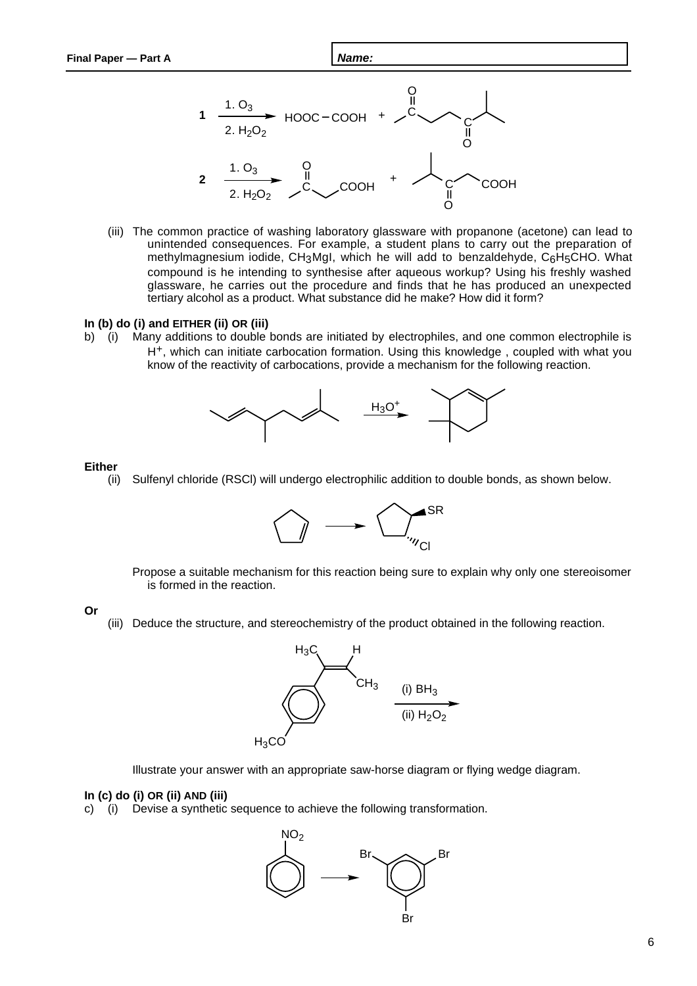

(iii) The common practice of washing laboratory glassware with propanone (acetone) can lead to unintended consequences. For example, a student plans to carry out the preparation of methylmagnesium iodide, CH<sub>3</sub>MgI, which he will add to benzaldehyde, C<sub>6</sub>H<sub>5</sub>CHO. What compound is he intending to synthesise after aqueous workup? Using his freshly washed glassware, he carries out the procedure and finds that he has produced an unexpected tertiary alcohol as a product. What substance did he make? How did it form?

#### **In (b) do (i) and EITHER (ii) OR (iii)**

b) (i) Many additions to double bonds are initiated by electrophiles, and one common electrophile is H+, which can initiate carbocation formation. Using this knowledge , coupled with what you know of the reactivity of carbocations, provide a mechanism for the following reaction.



#### **Either**

(ii) Sulfenyl chloride (RSCl) will undergo electrophilic addition to double bonds, as shown below.



Propose a suitable mechanism for this reaction being sure to explain why only one stereoisomer is formed in the reaction.

#### **Or**

(iii) Deduce the structure, and stereochemistry of the product obtained in the following reaction.



Illustrate your answer with an appropriate saw-horse diagram or flying wedge diagram.

### **In (c) do (i) OR (ii) AND (iii)**

c) (i) Devise a synthetic sequence to achieve the following transformation.